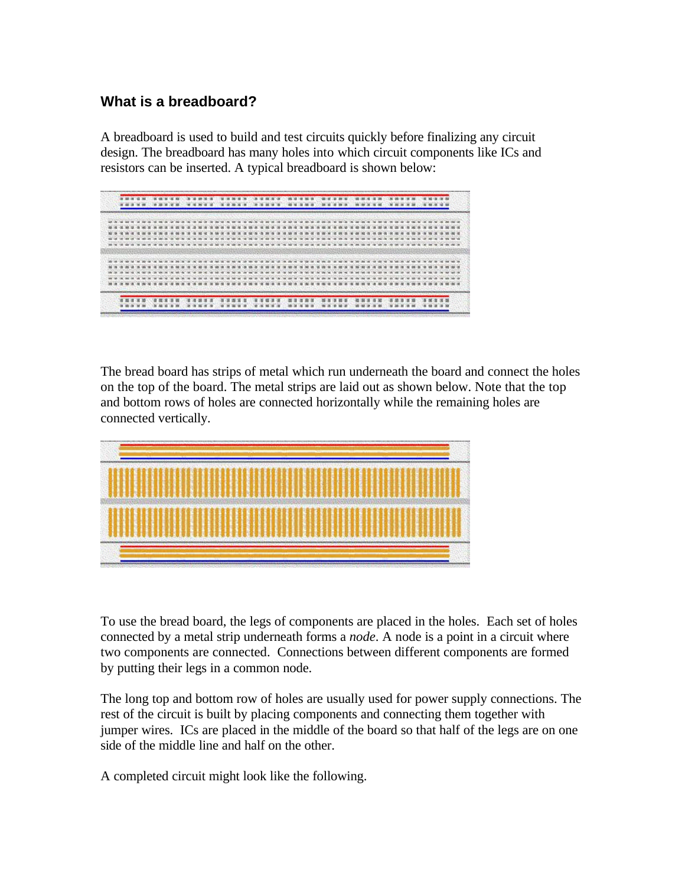## **What is a breadboard?**

A breadboard is used to build and test circuits quickly before finalizing any circuit design. The breadboard has many holes into which circuit components like ICs and resistors can be inserted. A typical breadboard is shown below:



The bread board has strips of metal which run underneath the board and connect the holes on the top of the board. The metal strips are laid out as shown below. Note that the top and bottom rows of holes are connected horizontally while the remaining holes are connected vertically.



To use the bread board, the legs of components are placed in the holes. Each set of holes connected by a metal strip underneath forms a *node*. A node is a point in a circuit where two components are connected. Connections between different components are formed by putting their legs in a common node.

The long top and bottom row of holes are usually used for power supply connections. The rest of the circuit is built by placing components and connecting them together with jumper wires. ICs are placed in the middle of the board so that half of the legs are on one side of the middle line and half on the other.

A completed circuit might look like the following.